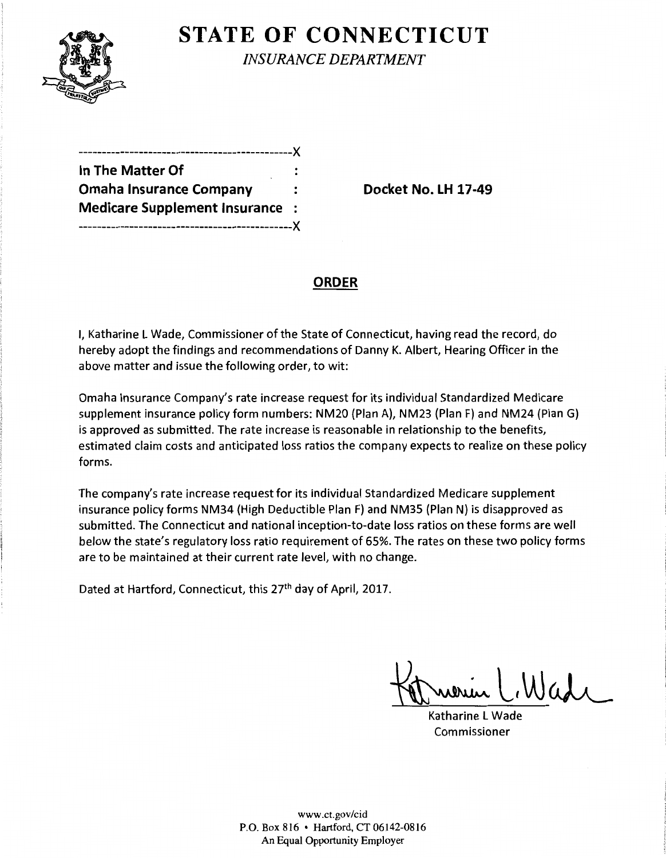

# **STATE OF CONNECTICUT**

*INSURANCE DEPARTMENT* 

-----------------X **In The Matter Of Omaha Insurance Company 19th Consumer Socket No. LH 17-49 Medicare Supplement Insurance**  ----------------------------------------------)(

## **ORDER**

I, Katharine l Wade, Commissioner of the State of Connecticut, having read the record, do hereby adopt the findings and recommendations of Danny K. Albert, Hearing Officer in the above matter and issue the following order, to wit:

Omaha Insurance Company's rate increase request for its individual Standardized Medicare supplement insurance policy form numbers: NM20 (Plan A), NM23 (Plan F) and NM24 (Plan G) is approved as submitted. The rate increase is reasonable in relationship to the benefits, estimated claim costs and anticipated loss ratios the company expects to realize on these policy forms.

The company's rate increase request for its individual Standardized Medicare supplement insurance policy forms NM34 (High Deductible Plan F) and NM35 (Plan N) is disapproved as submitted. The Connecticut and national inception-to-date loss ratios on these forms are well below the state's regulatory loss ratio requirement of 65%. The rates on these two policy forms are to be maintained at their current rate level, with no change.

Dated at Hartford, Connecticut, this 27<sup>th</sup> day of April, 2017.

Katharine l Wade Commissioner

www.ct.gov/cid P.O. Box 816 • Hartford, CT 06142-0816 An Equal Opportunity Employer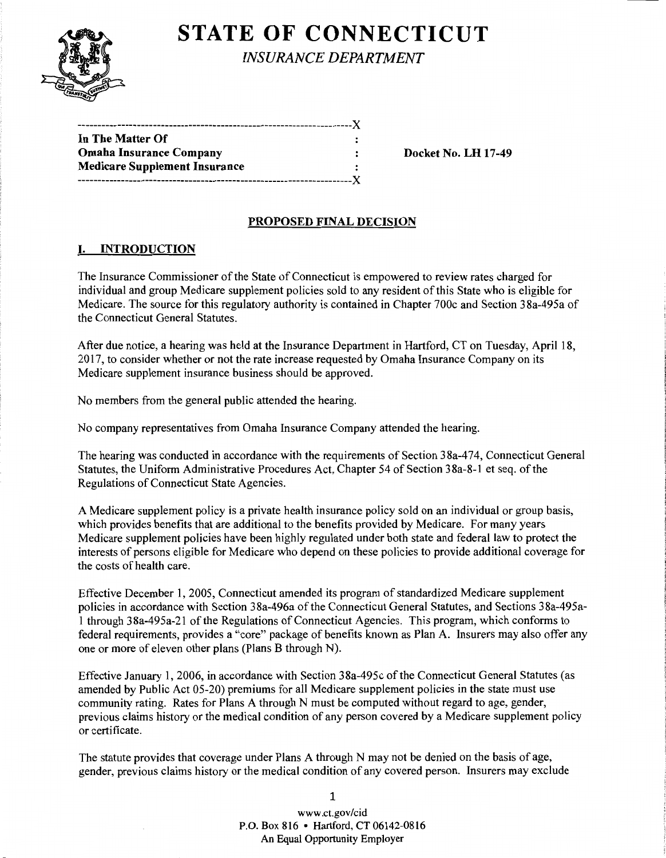# **STATE OF CONNECTICUT**

*INSURANCE DEPARTMENT* 

| In The Matter Of                     |  |
|--------------------------------------|--|
| <b>Omaha Insurance Company</b>       |  |
| <b>Medicare Supplement Insurance</b> |  |
| --------------------Y                |  |

Docket No. LH 17-49

## PROPOSED FINAL DECISION

### I. INTRODUCTION

The Insurance Commissioner of the State of Connecticut is empowered to review rates charged for individual and group Medicare supplement policies sold to any resident of this State who is eligible for Medicare. The source for this regulatory authority is contained in Chapter 700c and Section 38a-495a of the Connecticut General Statutes.

After due notice, a hearing was held at the Insurance Department in Hartford, CT on Tuesday, April 18, 2017, to consider whether or not the rate increase requested by Omaha Insurance Company on its Medicare supplement insurance business should be approved.

No members from the general public attended the hearing.

No company representatives from Omaha Insurance Company attended the hearing.

The hearing was conducted in accordance with the requirements of Section 38a-474, Connecticut General Statutes, the Uniform Administrative Procedures Act, Chapter 54 of Section 38a-8-1 et seq. of the Regulations of Connecticut State Agencies.

A Medicare supplement policy is a private health insurance policy sold on an individual or group basis, which provides benefits that are additional to the benefits provided by Medicare. For many years Medicare supplement policies have been highly regulated under both state and federal law to protect the interests of persons eligible for Medicare who depend on these policies to provide additional coverage for the costs of health care.

Effective December 1, 2005, Connecticut amended its program of standardized Medicare supplement policies in accordance with Section 38a-496a of the Connecticut General Statutes, and Sections 38a-495a-1 through 38a-495a-21 ofthe Regulations ofConnecticut Agencies. This program, which conforms to federal requirements, provides a "core" package of benefits known as Plan A. Insurers may also offer any one or more of eleven other plans (Plans B through N).

Effective January 1, 2006, in accordance with Section 38a-495c ofthe Connecticut General Statutes (as amended by Public Act 05-20) premiums for all Medicare supplement policies in the state must use community rating. Rates for Plans A through N must be computed without regard to age, gender, previous claims history or the medical condition of any person covered by a Medicare supplement policy or certificate.

The statute provides that coverage under Plans A through N may not be denied on the basis of age, gender, previous claims history or the medical condition of any covered person. Insurers may exclude

1

www.ct.gov/cid P.O. Box 816 • Hartford, CT 06142-0816 An Equal Opportunity Employer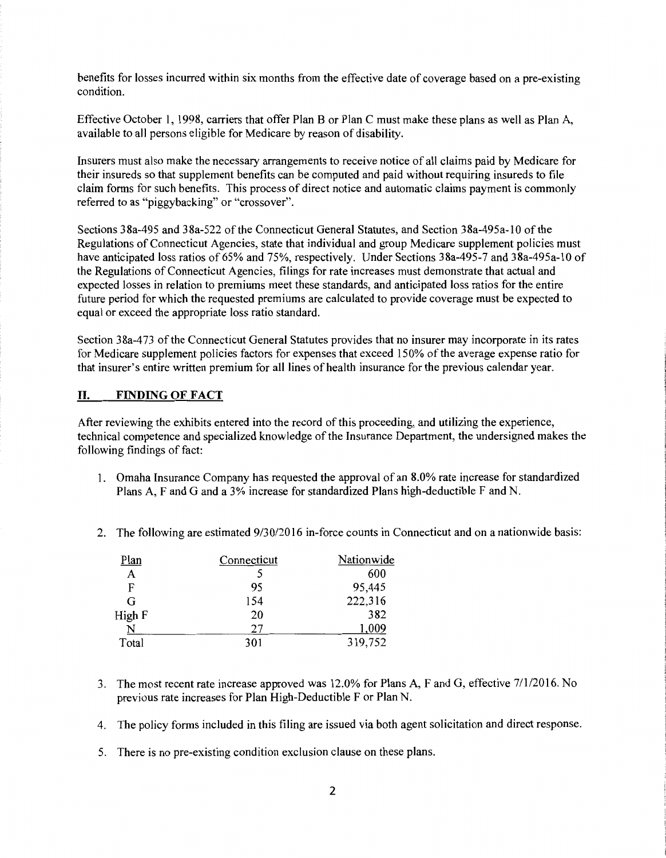benefits for losses incurred within six months from the effective date of coverage based on a pre-existing condition.

Effective October I, 1998, carriers that offer Plan B or Plan C must make these plans as well as Plan A, available to all persons eligible for Medicare by reason of disability.

Insurers must also make the necessary arrangements to receive notice of all claims paid by Medicare for their insureds so that supplement benefits can be computed and paid without requiring insureds to file claim forms for such benefits. This process of direct notice and automatic claims payment is commonly referred to as "piggybacking" or "crossover".

Sections 38a-495 and 38a-522 ofthe Connecticut General Statutes, and Section 38a-495a-10 ofthe Regulations of Connecticut Agencies, state that individual and group Medicare supplement policies must have anticipated loss ratios of 65% and 75%, respectively. Under Sections 38a-495-7 and 38a-495a-10 of the Regulations of Connecticut Agencies, filings for rate increases must demonstrate that actual and expected losses in relation to premiums meet these standards, and anticipated loss ratios for the entire future period for which the requested premiums are calculated to provide coverage must be expected to equal or exceed the appropriate loss ratio standard.

Section 38a-473 of the Connecticut General Statutes provides that no insurer may incorporate in its rates for Medicare supplement policies factors for expenses that exceed 150% of the average expense ratio for that insurer's entire written premium for all lines of health insurance for the previous calendar year.

#### **II. FINDING OF FACT**

After reviewing the exhibits entered into the record of this proceeding, and utilizing the experience, technical competence and specialized knowledge of the Insurance Department, the undersigned makes the following findings of fact:

- 1. Omaha Insurance Company has requested the approval of an 8.0% rate increase for standardized Plans A, F and G and a 3% increase for standardized Plans high-deductible F and N.
- 2. The following are estimated  $9/30/2016$  in-force counts in Connecticut and on a nationwide basis:

| Plan   | Connecticut | Nationwide |
|--------|-------------|------------|
| A      |             | 600        |
| F      | 95          | 95,445     |
| G      | 154         | 222,316    |
| High F | 20          | 382        |
|        | 27          | 1,009      |
| Total  | 301         | 319,752    |

- 3. The most recent rate increase approved was 12.0% for Plans A, F and G, effective 7/1/2016. No previous rate increases for Plan High-Deductible F or Plan N.
- 4. The policy forms included in this filing are issued via both agent solicitation and direct response.
- 5. There is no pre-existing condition exclusion clause on these plans.